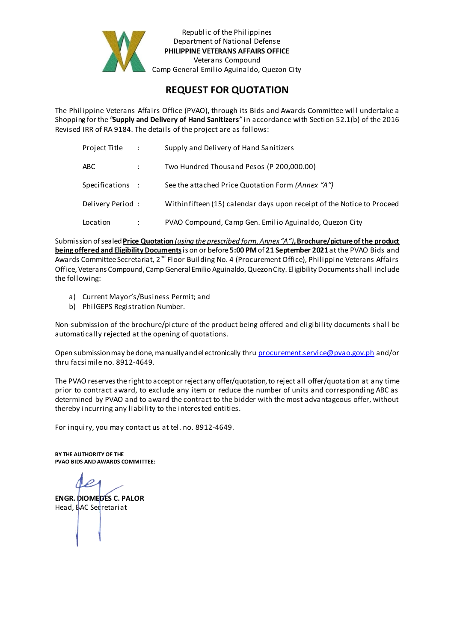

Republic of the Philippines Department of National Defense **PHILIPPINE VETERANS AFFAIRS OFFICE** Veterans Compound Camp General Emilio Aguinaldo, Quezon City

## **REQUEST FOR QUOTATION**

The Philippine Veterans Affairs Office (PVAO), through its Bids and Awards Committee will undertake a Shopping for the *"***Supply and Delivery of Hand Sanitizers***"* in accordance with Section 52.1(b) of the 2016 Revised IRR of RA 9184. The details of the project are as follows:

| Project Title    | $\mathbb{R}^2$ | Supply and Delivery of Hand Sanitizers                                  |
|------------------|----------------|-------------------------------------------------------------------------|
| ABC              | ÷              | Two Hundred Thousand Pesos (P 200,000.00)                               |
| Specifications : |                | See the attached Price Quotation Form (Annex "A")                       |
| Delivery Period: |                | Within fifteen (15) calendar days upon receipt of the Notice to Proceed |
| Location         |                | PVAO Compound, Camp Gen. Emilio Aguinaldo, Quezon City                  |

Submission of sealed **Price Quotation** *(using the prescribed form, Annex "A")***, Brochure/picture of the product being offered and Eligibility Documents**is on or before **5:00 PM** of **21 September 2021**at the PVAO Bids and Awards Committee Secretariat, 2<sup>nd</sup> Floor Building No. 4 (Procurement Office), Philippine Veterans Affairs Office, Veterans Compound, Camp General Emilio Aguinaldo, Quezon City. Eligibility Documents shall include the following:

- a) Current Mayor's/Business Permit; and
- b) PhilGEPS Registration Number.

Non-submission of the brochure/picture of the product being offered and eligibility documents shall be automatically rejected at the opening of quotations.

Open submission may be done, manually and electronically thru p[rocurement.service@pvao.gov.ph](mailto:procurement.service@pvao.gov.phyahoo.com) and/or thru facsimile no. 8912-4649.

The PVAO reserves the right to accept or reject any offer/quotation, to reject all offer/quotation at any time prior to contract award, to exclude any item or reduce the number of units and corresponding ABC as determined by PVAO and to award the contract to the bidder with the most advantageous offer, without thereby incurring any liability to the interested entities.

For inquiry, you may contact us at tel. no. 8912-4649.

**BY THE AUTHORITY OF THE PVAO BIDS AND AWARDS COMMITTEE:**

**ENGR. DIOMEDES C. PALOR** Head, BAC Secretariat